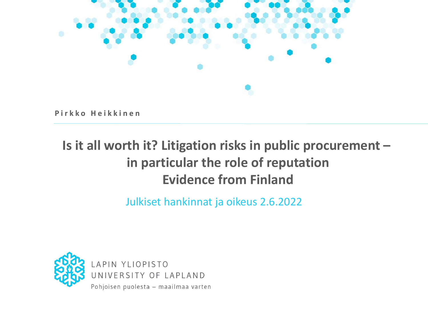

**P i r k k o H e i k k i n e n**

#### **Is it all worth it? Litigation risks in public procurement – in particular the role of reputation Evidence from Finland**

Julkiset hankinnat ja oikeus 2.6.2022

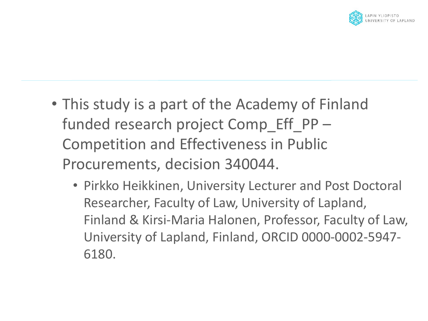

- This study is a part of the Academy of Finland funded research project Comp\_Eff\_PP – Competition and Effectiveness in Public Procurements, decision 340044.
	- Pirkko Heikkinen, University Lecturer and Post Doctoral Researcher, Faculty of Law, University of Lapland, Finland & Kirsi-Maria Halonen, Professor, Faculty of Law, University of Lapland, Finland, ORCID 0000-0002-5947- 6180.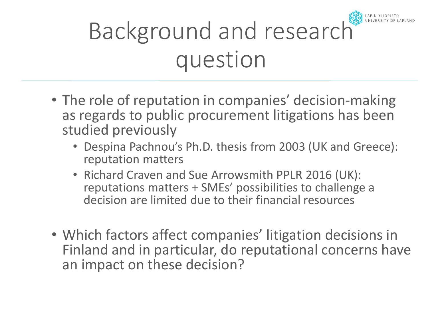# Background and research question

- The role of reputation in companies' decision-making as regards to public procurement litigations has been studied previously
	- Despina Pachnou's Ph.D. thesis from 2003 (UK and Greece): reputation matters
	- Richard Craven and Sue Arrowsmith PPLR 2016 (UK): reputations matters + SMEs' possibilities to challenge a decision are limited due to their financial resources
- Which factors affect companies' litigation decisions in Finland and in particular, do reputational concerns have an impact on these decision?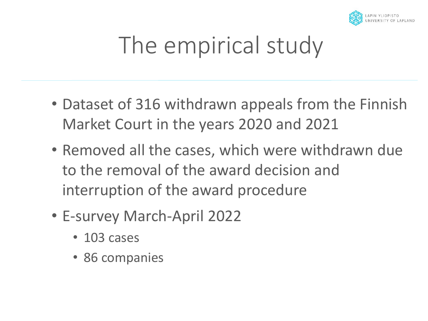

## The empirical study

- Dataset of 316 withdrawn appeals from the Finnish Market Court in the years 2020 and 2021
- Removed all the cases, which were withdrawn due to the removal of the award decision and interruption of the award procedure
- E-survey March-April 2022
	- 103 cases
	- 86 companies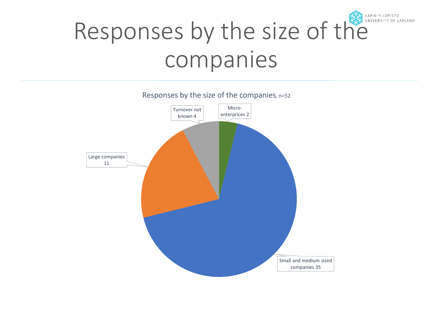### Responses by the size of the LAPIN YLIOPISTO companies

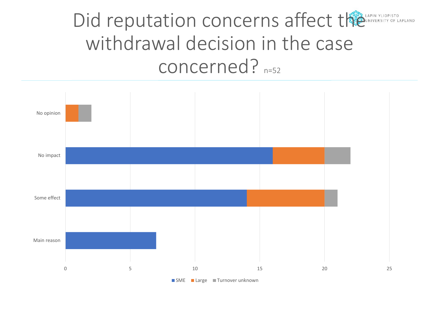### Did reputation concerns affect the CANNICRISTRY OF LI withdrawal decision in the case concerned? n=52

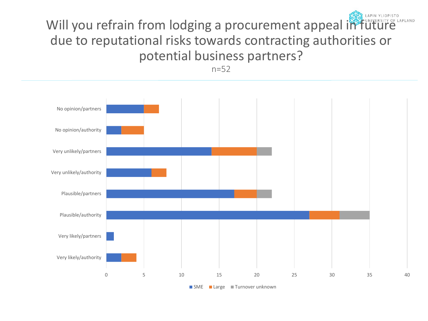### Will you refrain from lodging a procurement appeal in future due to reputational risks towards contracting authorities or potential business partners?

n=52

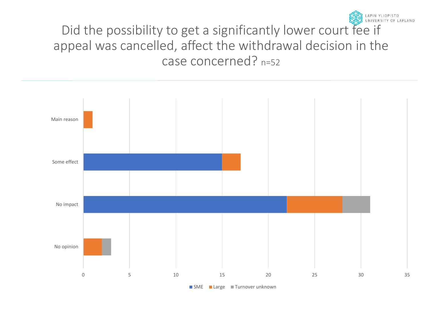Did the possibility to get a significantly lower court fee if appeal was cancelled, affect the withdrawal decision in the case concerned? n=52

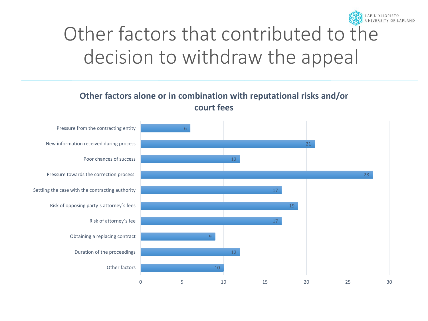

## Other factors that contributed to the decision to withdraw the appeal

#### **Other factors alone or in combination with reputational risks and/or court fees**

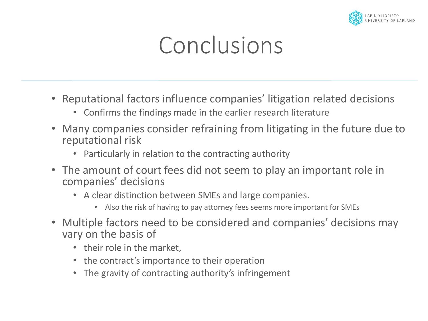

## Conclusions

- Reputational factors influence companies' litigation related decisions
	- Confirms the findings made in the earlier research literature
- Many companies consider refraining from litigating in the future due to reputational risk
	- Particularly in relation to the contracting authority
- The amount of court fees did not seem to play an important role in companies' decisions
	- A clear distinction between SMEs and large companies.
		- Also the risk of having to pay attorney fees seems more important for SMEs
- Multiple factors need to be considered and companies' decisions may vary on the basis of
	- their role in the market,
	- the contract's importance to their operation
	- The gravity of contracting authority's infringement